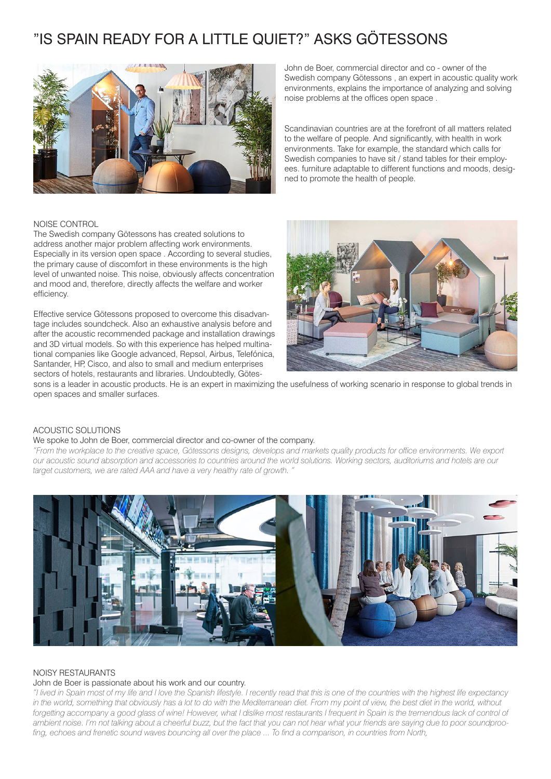# "IS SPAIN READY FOR A LITTLE QUIET?" ASKS GÖTESSONS



John de Boer, commercial director and co - owner of the Swedish company Götessons , an expert in acoustic quality work environments, explains the importance of analyzing and solving noise problems at the offices open space .

Scandinavian countries are at the forefront of all matters related to the welfare of people. And significantly, with health in work environments. Take for example, the standard which calls for Swedish companies to have sit / stand tables for their employees. furniture adaptable to different functions and moods, designed to promote the health of people.

### NOISE CONTROL

The Swedish company Götessons has created solutions to address another major problem affecting work environments. Especially in its version open space . According to several studies, the primary cause of discomfort in these environments is the high level of unwanted noise. This noise, obviously affects concentration and mood and, therefore, directly affects the welfare and worker efficiency.

Effective service Götessons proposed to overcome this disadvantage includes soundcheck. Also an exhaustive analysis before and after the acoustic recommended package and installation drawings and 3D virtual models. So with this experience has helped multinational companies like Google advanced, Repsol, Airbus, Telefónica, Santander, HP, Cisco, and also to small and medium enterprises sectors of hotels, restaurants and libraries. Undoubtedly, Götes-



sons is a leader in acoustic products. He is an expert in maximizing the usefulness of working scenario in response to global trends in open spaces and smaller surfaces.

# ACOUSTIC SOLUTIONS

#### We spoke to John de Boer, commercial director and co-owner of the company.

*"From the workplace to the creative space, Götessons designs, develops and markets quality products for office environments. We export our acoustic sound absorption and accessories to countries around the world solutions. Working sectors, auditoriums and hotels are our target customers, we are rated AAA and have a very healthy rate of growth. "*



#### NOISY RESTAURANTS

#### John de Boer is passionate about his work and our country.

*"I lived in Spain most of my life and I love the Spanish lifestyle. I recently read that this is one of the countries with the highest life expectancy*  in the world, something that obviously has a lot to do with the Mediterranean diet. From my point of view, the best diet in the world, without forgetting accompany a good glass of wine! However, what I dislike most restaurants I frequent in Spain is the tremendous lack of control of *ambient noise. I'm not talking about a cheerful buzz, but the fact that you can not hear what your friends are saying due to poor soundproofing, echoes and frenetic sound waves bouncing all over the place ... To find a comparison, in countries from North,*